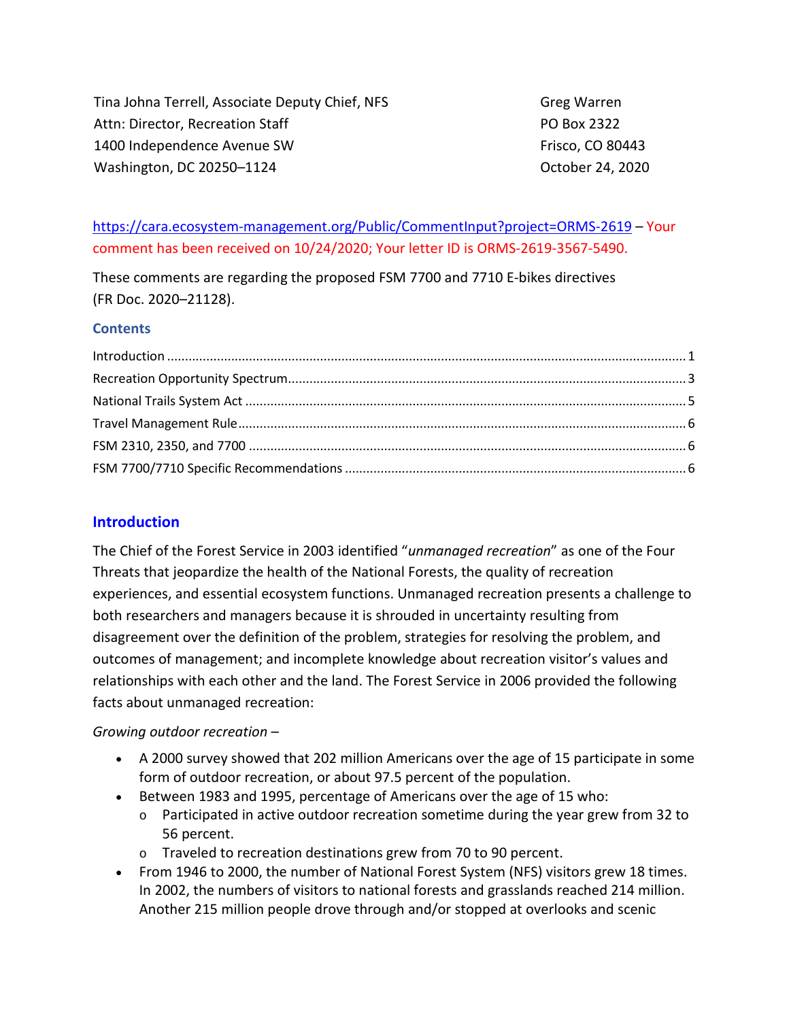Tina Johna Terrell, Associate Deputy Chief, NFS Attn: Director, Recreation Staff 1400 Independence Avenue SW Washington, DC 20250–1124

Greg Warren PO Box 2322 Frisco, CO 80443 October 24, 2020

## <https://cara.ecosystem-management.org/Public/CommentInput?project=ORMS-2619> – Your comment has been received on 10/24/2020; Your letter ID is ORMS-2619-3567-5490.

These comments are regarding the proposed FSM 7700 and 7710 E-bikes directives (FR Doc. 2020–21128).

#### **Contents**

#### <span id="page-0-0"></span>**Introduction**

The Chief of the Forest Service in 2003 identified "*unmanaged recreation*" as one of the Four Threats that jeopardize the health of the National Forests, the quality of recreation experiences, and essential ecosystem functions. Unmanaged recreation presents a challenge to both researchers and managers because it is shrouded in uncertainty resulting from disagreement over the definition of the problem, strategies for resolving the problem, and outcomes of management; and incomplete knowledge about recreation visitor's values and relationships with each other and the land. The Forest Service in 2006 provided the following facts about unmanaged recreation:

#### *Growing outdoor recreation* –

- A 2000 survey showed that 202 million Americans over the age of 15 participate in some form of outdoor recreation, or about 97.5 percent of the population.
- Between 1983 and 1995, percentage of Americans over the age of 15 who:
	- $\circ$  Participated in active outdoor recreation sometime during the year grew from 32 to 56 percent.
	- o Traveled to recreation destinations grew from 70 to 90 percent.
- From 1946 to 2000, the number of National Forest System (NFS) visitors grew 18 times. In 2002, the numbers of visitors to national forests and grasslands reached 214 million. Another 215 million people drove through and/or stopped at overlooks and scenic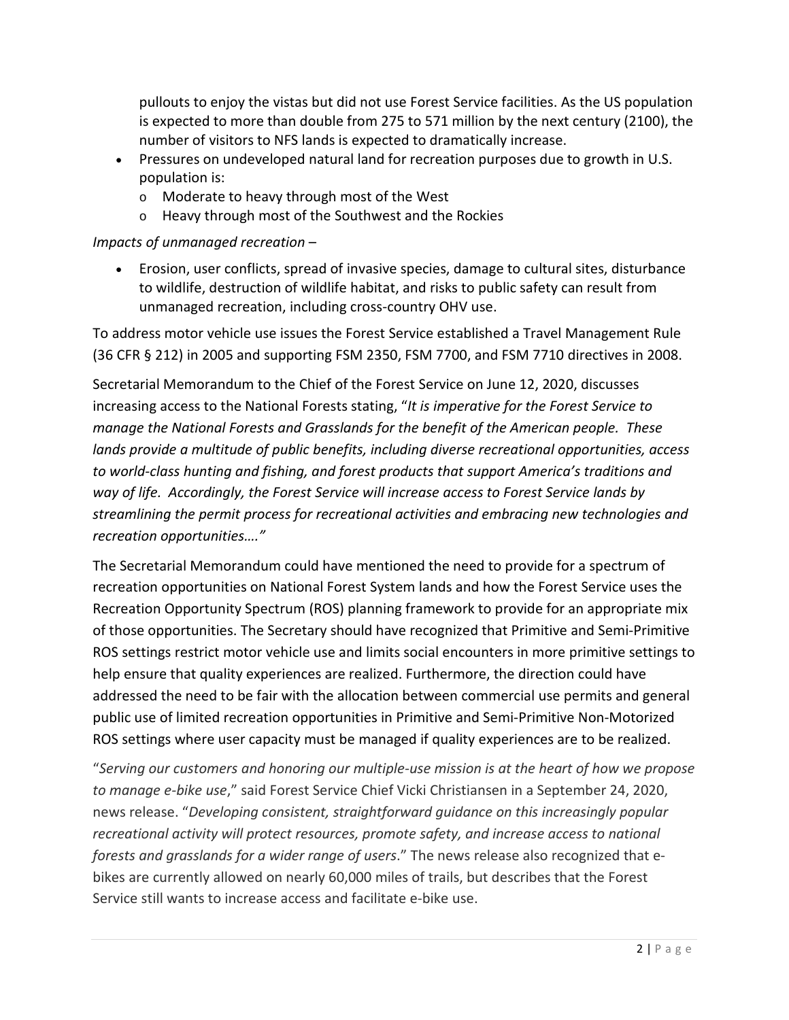pullouts to enjoy the vistas but did not use Forest Service facilities. As the US population is expected to more than double from 275 to 571 million by the next century (2100), the number of visitors to NFS lands is expected to dramatically increase.

- Pressures on undeveloped natural land for recreation purposes due to growth in U.S. population is:
	- o Moderate to heavy through most of the West
	- o Heavy through most of the Southwest and the Rockies

## *Impacts of unmanaged recreation* –

• Erosion, user conflicts, spread of invasive species, damage to cultural sites, disturbance to wildlife, destruction of wildlife habitat, and risks to public safety can result from unmanaged recreation, including cross-country OHV use.

To address motor vehicle use issues the Forest Service established a Travel Management Rule (36 CFR § 212) in 2005 and supporting FSM 2350, FSM 7700, and FSM 7710 directives in 2008.

Secretarial Memorandum to the Chief of the Forest Service on June 12, 2020, discusses increasing access to the National Forests stating, "*It is imperative for the Forest Service to manage the National Forests and Grasslands for the benefit of the American people. These lands provide a multitude of public benefits, including diverse recreational opportunities, access to world-class hunting and fishing, and forest products that support America's traditions and way of life. Accordingly, the Forest Service will increase access to Forest Service lands by streamlining the permit process for recreational activities and embracing new technologies and recreation opportunities…."*

The Secretarial Memorandum could have mentioned the need to provide for a spectrum of recreation opportunities on National Forest System lands and how the Forest Service uses the Recreation Opportunity Spectrum (ROS) planning framework to provide for an appropriate mix of those opportunities. The Secretary should have recognized that Primitive and Semi-Primitive ROS settings restrict motor vehicle use and limits social encounters in more primitive settings to help ensure that quality experiences are realized. Furthermore, the direction could have addressed the need to be fair with the allocation between commercial use permits and general public use of limited recreation opportunities in Primitive and Semi-Primitive Non-Motorized ROS settings where user capacity must be managed if quality experiences are to be realized.

"*Serving our customers and honoring our multiple-use mission is at the heart of how we propose to manage e-bike use*," said Forest Service Chief Vicki Christiansen in a September 24, 2020, news release. "*Developing consistent, straightforward guidance on this increasingly popular recreational activity will protect resources, promote safety, and increase access to national forests and grasslands for a wider range of users*." The news release also recognized that ebikes are currently allowed on nearly 60,000 miles of trails, but describes that the Forest Service still wants to increase access and facilitate e-bike use.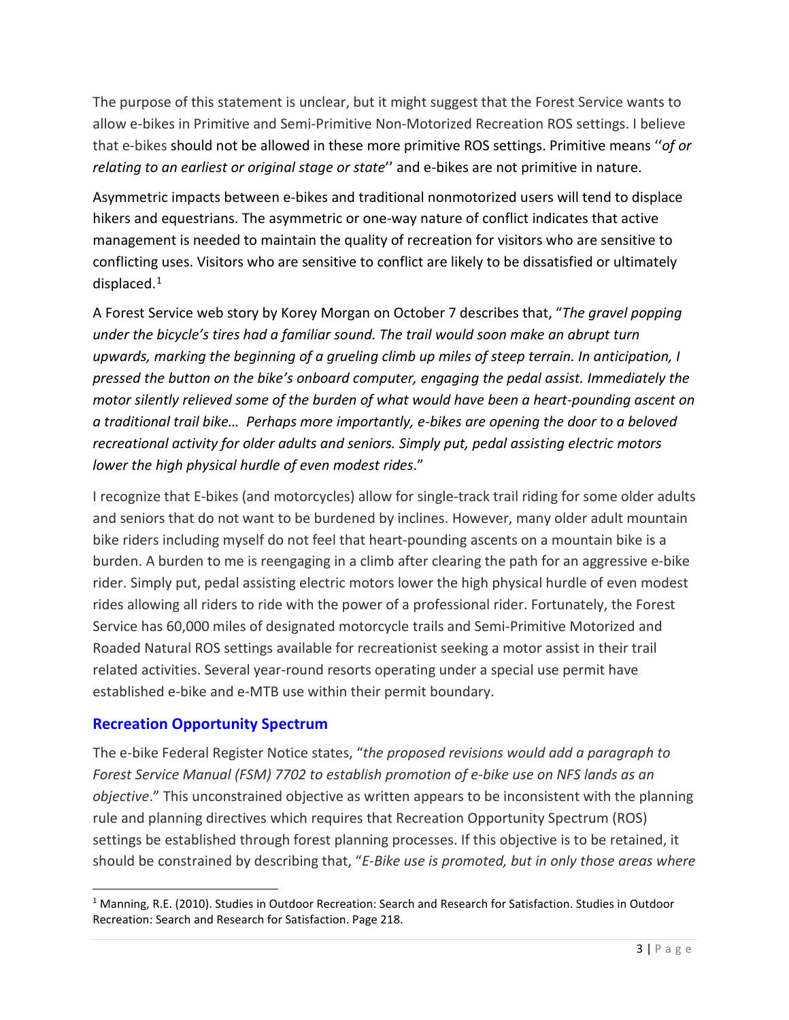The purpose of this statement is unclear, but it might suggest that the Forest Service wants to allow e-bikes in Primitive and Semi-Primitive Non-Motorized Recreation ROS settings. I believe that e-bikes should not be allowed in these more primitive ROS settings. Primitive means ''*of or relating to an earliest or original stage or state*'' and e-bikes are not primitive in nature.

Asymmetric impacts between e-bikes and traditional nonmotorized users will tend to displace hikers and equestrians. The asymmetric or one-way nature of conflict indicates that active management is needed to maintain the quality of recreation for visitors who are sensitive to conflicting uses. Visitors who are sensitive to conflict are likely to be dissatisfied or ultimately displaced[.1](#page-2-1)

A Forest Service web story by Korey Morgan on October 7 describes that, "*The gravel popping under the bicycle's tires had a familiar sound. The trail would soon make an abrupt turn upwards, marking the beginning of a grueling climb up miles of steep terrain. In anticipation, I pressed the button on the bike's onboard computer, engaging the pedal assist. Immediately the motor silently relieved some of the burden of what would have been a heart-pounding ascent on a traditional trail bike… Perhaps more importantly, e-bikes are opening the door to a beloved recreational activity for older adults and seniors. Simply put, pedal assisting electric motors lower the high physical hurdle of even modest rides*."

I recognize that E-bikes (and motorcycles) allow for single-track trail riding for some older adults and seniors that do not want to be burdened by inclines. However, many older adult mountain bike riders including myself do not feel that heart-pounding ascents on a mountain bike is a burden. A burden to me is reengaging in a climb after clearing the path for an aggressive e-bike rider. Simply put, pedal assisting electric motors lower the high physical hurdle of even modest rides allowing all riders to ride with the power of a professional rider. Fortunately, the Forest Service has 60,000 miles of designated motorcycle trails and Semi-Primitive Motorized and Roaded Natural ROS settings available for recreationist seeking a motor assist in their trail related activities. Several year-round resorts operating under a special use permit have established e-bike and e-MTB use within their permit boundary.

## <span id="page-2-0"></span>**Recreation Opportunity Spectrum**

The e-bike Federal Register Notice states, "*the proposed revisions would add a paragraph to Forest Service Manual (FSM) 7702 to establish promotion of e-bike use on NFS lands as an objective*." This unconstrained objective as written appears to be inconsistent with the planning rule and planning directives which requires that Recreation Opportunity Spectrum (ROS) settings be established through forest planning processes. If this objective is to be retained, it should be constrained by describing that, "*E-Bike use is promoted, but in only those areas where* 

<span id="page-2-1"></span><sup>1</sup> Manning, R.E. (2010). Studies in Outdoor Recreation: Search and Research for Satisfaction. Studies in Outdoor Recreation: Search and Research for Satisfaction. Page 218.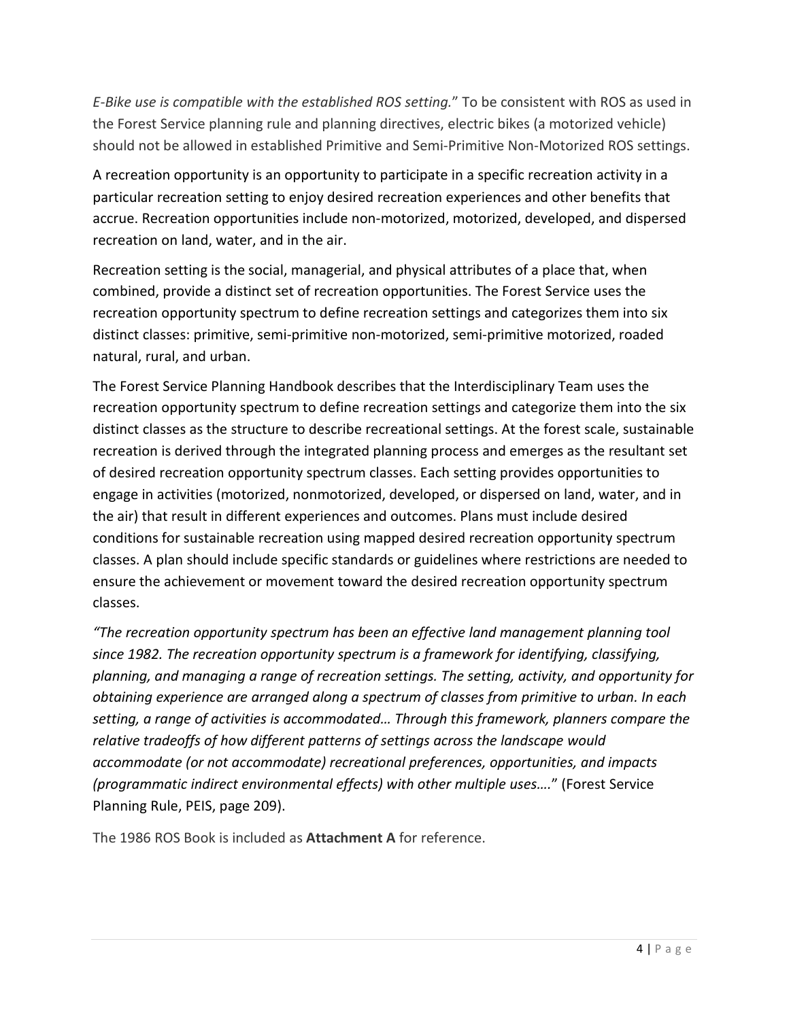*E-Bike use is compatible with the established ROS setting.*" To be consistent with ROS as used in the Forest Service planning rule and planning directives, electric bikes (a motorized vehicle) should not be allowed in established Primitive and Semi-Primitive Non-Motorized ROS settings.

A recreation opportunity is an opportunity to participate in a specific recreation activity in a particular recreation setting to enjoy desired recreation experiences and other benefits that accrue. Recreation opportunities include non-motorized, motorized, developed, and dispersed recreation on land, water, and in the air.

Recreation setting is the social, managerial, and physical attributes of a place that, when combined, provide a distinct set of recreation opportunities. The Forest Service uses the recreation opportunity spectrum to define recreation settings and categorizes them into six distinct classes: primitive, semi-primitive non-motorized, semi-primitive motorized, roaded natural, rural, and urban.

The Forest Service Planning Handbook describes that the Interdisciplinary Team uses the recreation opportunity spectrum to define recreation settings and categorize them into the six distinct classes as the structure to describe recreational settings. At the forest scale, sustainable recreation is derived through the integrated planning process and emerges as the resultant set of desired recreation opportunity spectrum classes. Each setting provides opportunities to engage in activities (motorized, nonmotorized, developed, or dispersed on land, water, and in the air) that result in different experiences and outcomes. Plans must include desired conditions for sustainable recreation using mapped desired recreation opportunity spectrum classes. A plan should include specific standards or guidelines where restrictions are needed to ensure the achievement or movement toward the desired recreation opportunity spectrum classes.

*"The recreation opportunity spectrum has been an effective land management planning tool since 1982. The recreation opportunity spectrum is a framework for identifying, classifying, planning, and managing a range of recreation settings. The setting, activity, and opportunity for obtaining experience are arranged along a spectrum of classes from primitive to urban. In each setting, a range of activities is accommodated… Through this framework, planners compare the relative tradeoffs of how different patterns of settings across the landscape would accommodate (or not accommodate) recreational preferences, opportunities, and impacts (programmatic indirect environmental effects) with other multiple uses….*" (Forest Service Planning Rule, PEIS, page 209).

The 1986 ROS Book is included as **Attachment A** for reference.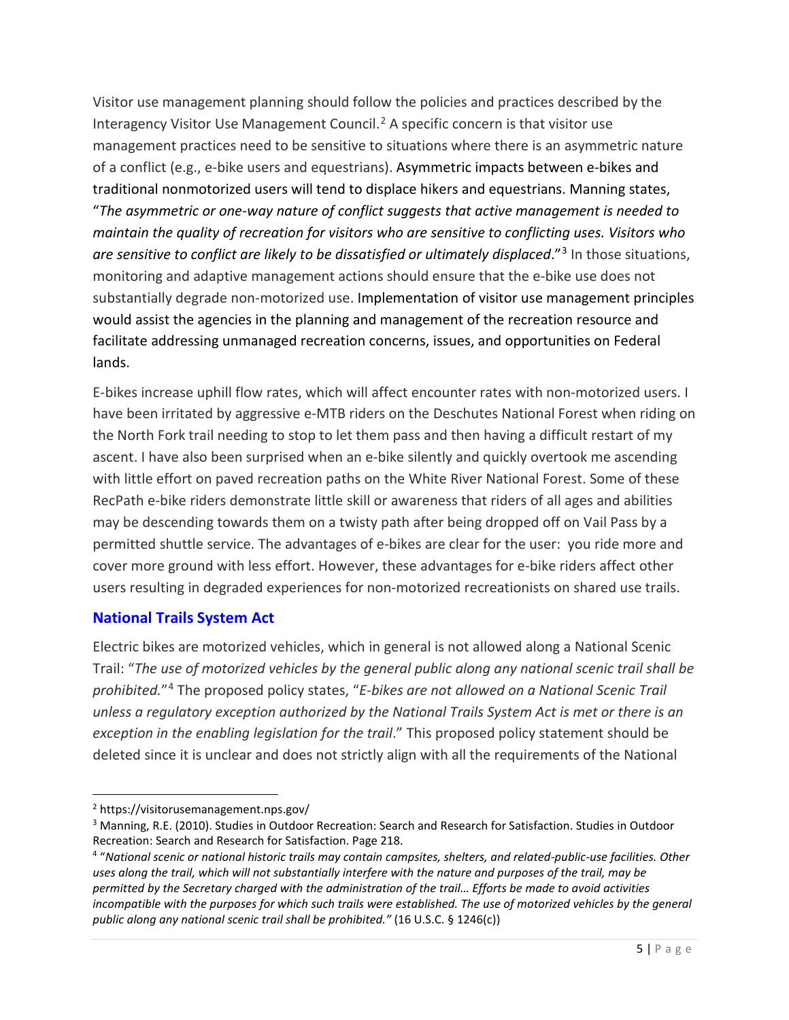Visitor use management planning should follow the policies and practices described by the Interagency Visitor Use Management Council. [2](#page-4-1) A specific concern is that visitor use management practices need to be sensitive to situations where there is an asymmetric nature of a conflict (e.g., e-bike users and equestrians). Asymmetric impacts between e-bikes and traditional nonmotorized users will tend to displace hikers and equestrians. Manning states, "*The asymmetric or one-way nature of conflict suggests that active management is needed to maintain the quality of recreation for visitors who are sensitive to conflicting uses. Visitors who are sensitive to conflict are likely to be dissatisfied or ultimately displaced*."[3](#page-4-2) In those situations, monitoring and adaptive management actions should ensure that the e-bike use does not substantially degrade non-motorized use. Implementation of visitor use management principles would assist the agencies in the planning and management of the recreation resource and facilitate addressing unmanaged recreation concerns, issues, and opportunities on Federal lands.

E-bikes increase uphill flow rates, which will affect encounter rates with non-motorized users. I have been irritated by aggressive e-MTB riders on the Deschutes National Forest when riding on the North Fork trail needing to stop to let them pass and then having a difficult restart of my ascent. I have also been surprised when an e-bike silently and quickly overtook me ascending with little effort on paved recreation paths on the White River National Forest. Some of these RecPath e-bike riders demonstrate little skill or awareness that riders of all ages and abilities may be descending towards them on a twisty path after being dropped off on Vail Pass by a permitted shuttle service. The advantages of e-bikes are clear for the user: you ride more and cover more ground with less effort. However, these advantages for e-bike riders affect other users resulting in degraded experiences for non-motorized recreationists on shared use trails.

## <span id="page-4-0"></span>**National Trails System Act**

Electric bikes are motorized vehicles, which in general is not allowed along a National Scenic Trail: "*The use of motorized vehicles by the general public along any national scenic trail shall be prohibited.*"[4](#page-4-3) The proposed policy states, "*E-bikes are not allowed on a National Scenic Trail unless a regulatory exception authorized by the National Trails System Act is met or there is an exception in the enabling legislation for the trail*." This proposed policy statement should be deleted since it is unclear and does not strictly align with all the requirements of the National

<span id="page-4-1"></span><sup>2</sup> https://visitorusemanagement.nps.gov/

<span id="page-4-2"></span><sup>&</sup>lt;sup>3</sup> Manning, R.E. (2010). Studies in Outdoor Recreation: Search and Research for Satisfaction. Studies in Outdoor Recreation: Search and Research for Satisfaction. Page 218.

<span id="page-4-3"></span><sup>4</sup> "*National scenic or national historic trails may contain campsites, shelters, and related-public-use facilities. Other uses along the trail, which will not substantially interfere with the nature and purposes of the trail, may be permitted by the Secretary charged with the administration of the trail… Efforts be made to avoid activities incompatible with the purposes for which such trails were established. The use of motorized vehicles by the general public along any national scenic trail shall be prohibited."* (16 U.S.C. § 1246(c))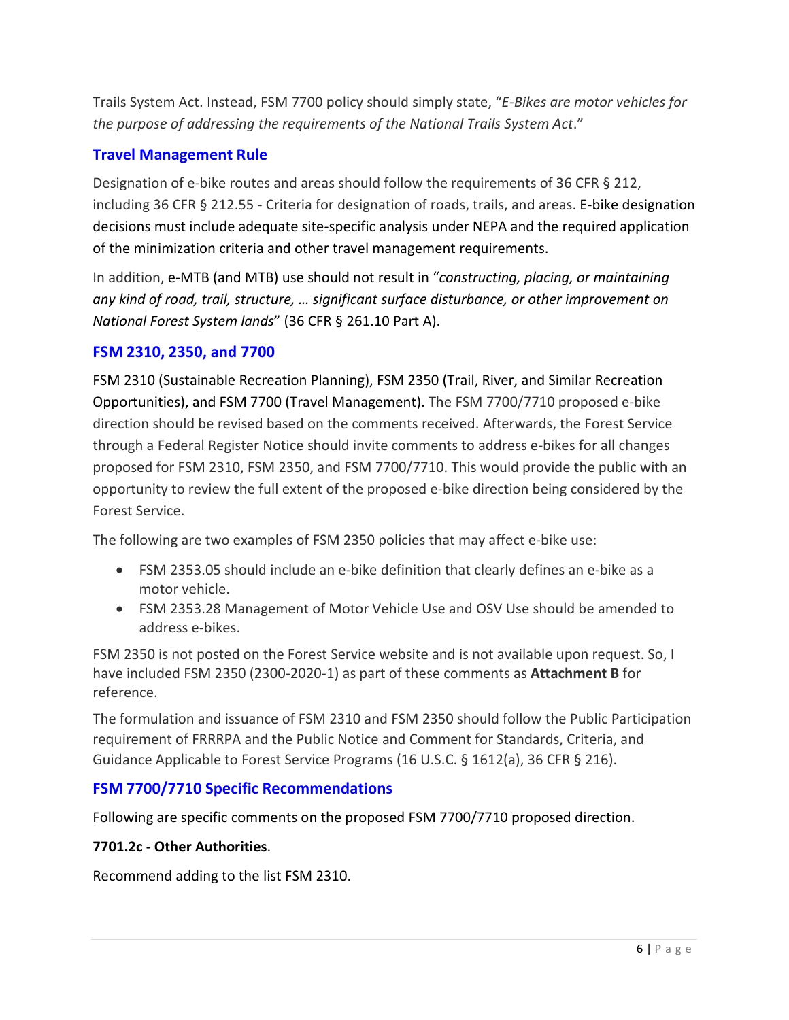Trails System Act. Instead, FSM 7700 policy should simply state, "*E-Bikes are motor vehicles for the purpose of addressing the requirements of the National Trails System Act*."

#### <span id="page-5-0"></span>**Travel Management Rule**

Designation of e-bike routes and areas should follow the requirements of 36 CFR § 212, including 36 CFR § 212.55 - Criteria for designation of roads, trails, and areas. E-bike designation decisions must include adequate site-specific analysis under NEPA and the required application of the minimization criteria and other travel management requirements.

In addition, e-MTB (and MTB) use should not result in "*constructing, placing, or maintaining any kind of road, trail, structure, … significant surface disturbance, or other improvement on National Forest System lands*" (36 CFR § 261.10 Part A).

#### <span id="page-5-1"></span>**FSM 2310, 2350, and 7700**

FSM 2310 (Sustainable Recreation Planning), FSM 2350 (Trail, River, and Similar Recreation Opportunities), and FSM 7700 (Travel Management). The FSM 7700/7710 proposed e-bike direction should be revised based on the comments received. Afterwards, the Forest Service through a Federal Register Notice should invite comments to address e-bikes for all changes proposed for FSM 2310, FSM 2350, and FSM 7700/7710. This would provide the public with an opportunity to review the full extent of the proposed e-bike direction being considered by the Forest Service.

The following are two examples of FSM 2350 policies that may affect e-bike use:

- FSM 2353.05 should include an e-bike definition that clearly defines an e-bike as a motor vehicle.
- FSM 2353.28 Management of Motor Vehicle Use and OSV Use should be amended to address e-bikes.

FSM 2350 is not posted on the Forest Service website and is not available upon request. So, I have included FSM 2350 (2300-2020-1) as part of these comments as **Attachment B** for reference.

<span id="page-5-2"></span>The formulation and issuance of FSM 2310 and FSM 2350 should follow the Public Participation requirement of FRRRPA and the Public Notice and Comment for Standards, Criteria, and Guidance Applicable to Forest Service Programs (16 U.S.C. § 1612(a), 36 CFR § 216).

## **FSM 7700/7710 Specific Recommendations**

Following are specific comments on the proposed FSM 7700/7710 proposed direction.

#### **7701.2c - Other Authorities**.

Recommend adding to the list FSM 2310.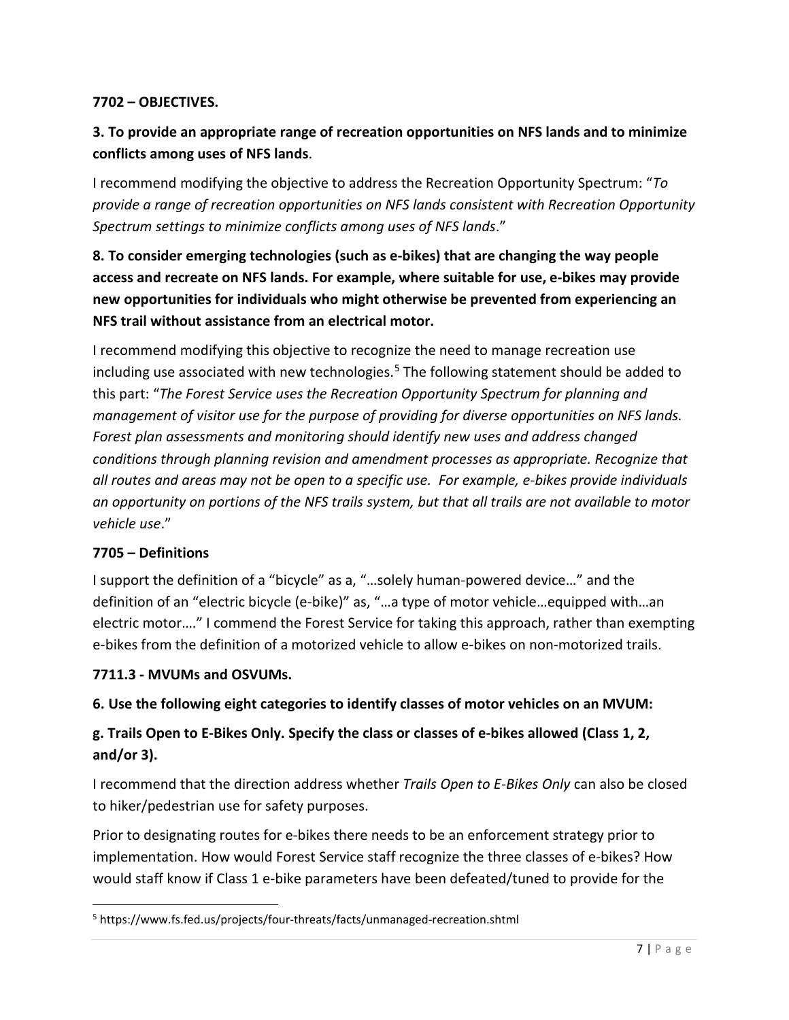#### **7702 – OBJECTIVES.**

## **3. To provide an appropriate range of recreation opportunities on NFS lands and to minimize conflicts among uses of NFS lands**.

I recommend modifying the objective to address the Recreation Opportunity Spectrum: "*To provide a range of recreation opportunities on NFS lands consistent with Recreation Opportunity Spectrum settings to minimize conflicts among uses of NFS lands*."

**8. To consider emerging technologies (such as e-bikes) that are changing the way people access and recreate on NFS lands. For example, where suitable for use, e-bikes may provide new opportunities for individuals who might otherwise be prevented from experiencing an NFS trail without assistance from an electrical motor.**

I recommend modifying this objective to recognize the need to manage recreation use including use associated with new technologies.<sup>[5](#page-6-0)</sup> The following statement should be added to this part: "*The Forest Service uses the Recreation Opportunity Spectrum for planning and management of visitor use for the purpose of providing for diverse opportunities on NFS lands. Forest plan assessments and monitoring should identify new uses and address changed conditions through planning revision and amendment processes as appropriate. Recognize that all routes and areas may not be open to a specific use. For example, e-bikes provide individuals an opportunity on portions of the NFS trails system, but that all trails are not available to motor vehicle use*."

## **7705 – Definitions**

I support the definition of a "bicycle" as a, "…solely human-powered device…" and the definition of an "electric bicycle (e-bike)" as, "…a type of motor vehicle…equipped with…an electric motor…." I commend the Forest Service for taking this approach, rather than exempting e-bikes from the definition of a motorized vehicle to allow e-bikes on non-motorized trails.

#### **7711.3 - MVUMs and OSVUMs.**

## **6. Use the following eight categories to identify classes of motor vehicles on an MVUM:**

## **g. Trails Open to E-Bikes Only. Specify the class or classes of e-bikes allowed (Class 1, 2, and/or 3).**

I recommend that the direction address whether *Trails Open to E-Bikes Only* can also be closed to hiker/pedestrian use for safety purposes.

Prior to designating routes for e-bikes there needs to be an enforcement strategy prior to implementation. How would Forest Service staff recognize the three classes of e-bikes? How would staff know if Class 1 e-bike parameters have been defeated/tuned to provide for the

<span id="page-6-0"></span><sup>5</sup> https://www.fs.fed.us/projects/four-threats/facts/unmanaged-recreation.shtml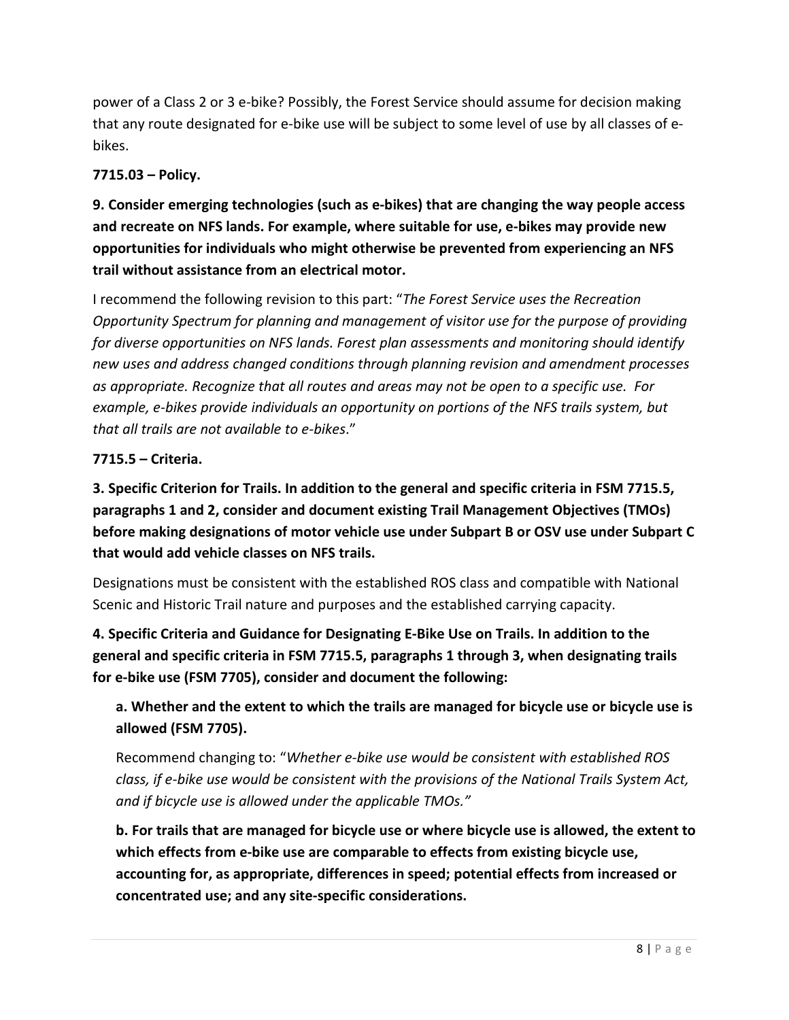power of a Class 2 or 3 e-bike? Possibly, the Forest Service should assume for decision making that any route designated for e-bike use will be subject to some level of use by all classes of ebikes.

## **7715.03 – Policy.**

**9. Consider emerging technologies (such as e-bikes) that are changing the way people access and recreate on NFS lands. For example, where suitable for use, e-bikes may provide new opportunities for individuals who might otherwise be prevented from experiencing an NFS trail without assistance from an electrical motor.**

I recommend the following revision to this part: "*The Forest Service uses the Recreation Opportunity Spectrum for planning and management of visitor use for the purpose of providing for diverse opportunities on NFS lands. Forest plan assessments and monitoring should identify new uses and address changed conditions through planning revision and amendment processes as appropriate. Recognize that all routes and areas may not be open to a specific use. For example, e-bikes provide individuals an opportunity on portions of the NFS trails system, but that all trails are not available to e-bikes*."

## **7715.5 – Criteria.**

**3. Specific Criterion for Trails. In addition to the general and specific criteria in FSM 7715.5, paragraphs 1 and 2, consider and document existing Trail Management Objectives (TMOs) before making designations of motor vehicle use under Subpart B or OSV use under Subpart C that would add vehicle classes on NFS trails.**

Designations must be consistent with the established ROS class and compatible with National Scenic and Historic Trail nature and purposes and the established carrying capacity.

**4. Specific Criteria and Guidance for Designating E-Bike Use on Trails. In addition to the general and specific criteria in FSM 7715.5, paragraphs 1 through 3, when designating trails for e-bike use (FSM 7705), consider and document the following:**

# **a. Whether and the extent to which the trails are managed for bicycle use or bicycle use is allowed (FSM 7705).**

Recommend changing to: "*Whether e-bike use would be consistent with established ROS class, if e-bike use would be consistent with the provisions of the National Trails System Act, and if bicycle use is allowed under the applicable TMOs."*

**b. For trails that are managed for bicycle use or where bicycle use is allowed, the extent to which effects from e-bike use are comparable to effects from existing bicycle use, accounting for, as appropriate, differences in speed; potential effects from increased or concentrated use; and any site-specific considerations.**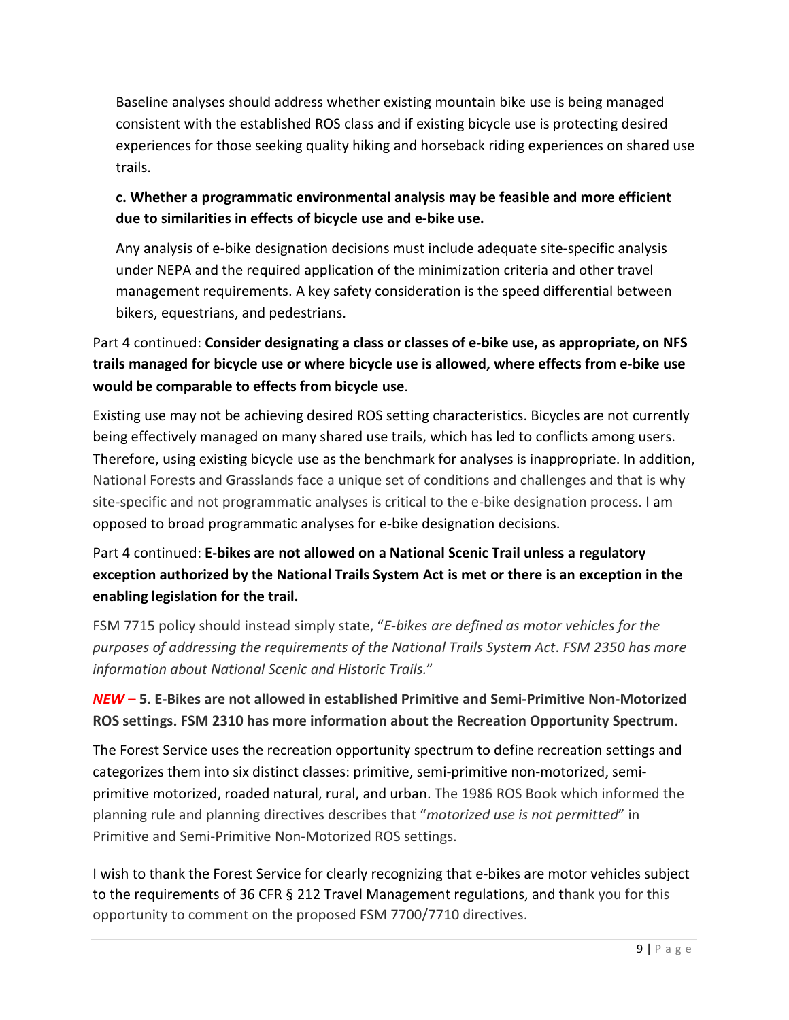Baseline analyses should address whether existing mountain bike use is being managed consistent with the established ROS class and if existing bicycle use is protecting desired experiences for those seeking quality hiking and horseback riding experiences on shared use trails.

## **c. Whether a programmatic environmental analysis may be feasible and more efficient due to similarities in effects of bicycle use and e-bike use.**

Any analysis of e-bike designation decisions must include adequate site-specific analysis under NEPA and the required application of the minimization criteria and other travel management requirements. A key safety consideration is the speed differential between bikers, equestrians, and pedestrians.

# Part 4 continued: **Consider designating a class or classes of e-bike use, as appropriate, on NFS trails managed for bicycle use or where bicycle use is allowed, where effects from e-bike use would be comparable to effects from bicycle use**.

Existing use may not be achieving desired ROS setting characteristics. Bicycles are not currently being effectively managed on many shared use trails, which has led to conflicts among users. Therefore, using existing bicycle use as the benchmark for analyses is inappropriate. In addition, National Forests and Grasslands face a unique set of conditions and challenges and that is why site-specific and not programmatic analyses is critical to the e-bike designation process. I am opposed to broad programmatic analyses for e-bike designation decisions.

# Part 4 continued: **E-bikes are not allowed on a National Scenic Trail unless a regulatory exception authorized by the National Trails System Act is met or there is an exception in the enabling legislation for the trail.**

FSM 7715 policy should instead simply state, "*E-bikes are defined as motor vehicles for the purposes of addressing the requirements of the National Trails System Act*. *FSM 2350 has more information about National Scenic and Historic Trails.*"

# *NEW* **– 5. E-Bikes are not allowed in established Primitive and Semi-Primitive Non-Motorized ROS settings. FSM 2310 has more information about the Recreation Opportunity Spectrum.**

The Forest Service uses the recreation opportunity spectrum to define recreation settings and categorizes them into six distinct classes: primitive, semi-primitive non-motorized, semiprimitive motorized, roaded natural, rural, and urban. The 1986 ROS Book which informed the planning rule and planning directives describes that "*motorized use is not permitted*" in Primitive and Semi-Primitive Non-Motorized ROS settings.

I wish to thank the Forest Service for clearly recognizing that e-bikes are motor vehicles subject to the requirements of 36 CFR § 212 Travel Management regulations, and thank you for this opportunity to comment on the proposed FSM 7700/7710 directives.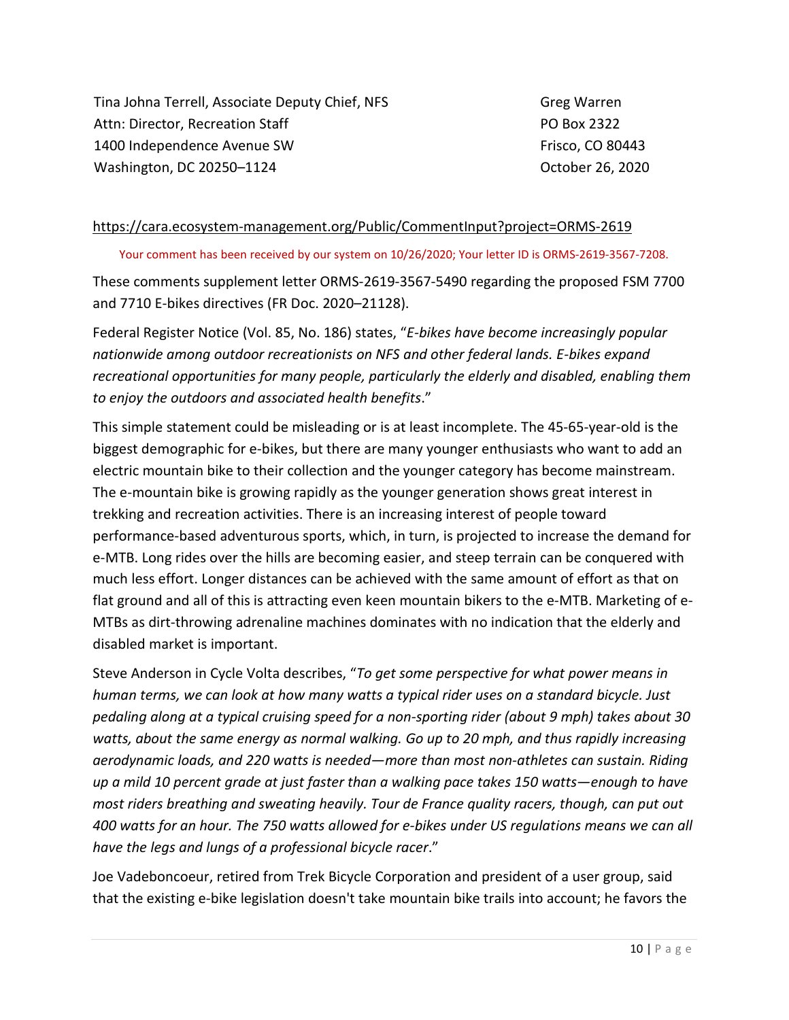Tina Johna Terrell, Associate Deputy Chief, NFS Attn: Director, Recreation Staff 1400 Independence Avenue SW Washington, DC 20250–1124

Greg Warren PO Box 2322 Frisco, CO 80443 October 26, 2020

#### <https://cara.ecosystem-management.org/Public/CommentInput?project=ORMS-2619>

Your comment has been received by our system on 10/26/2020; Your letter ID is ORMS-2619-3567-7208.

These comments supplement letter ORMS-2619-3567-5490 regarding the proposed FSM 7700 and 7710 E-bikes directives (FR Doc. 2020–21128).

Federal Register Notice (Vol. 85, No. 186) states, "*E-bikes have become increasingly popular nationwide among outdoor recreationists on NFS and other federal lands. E-bikes expand recreational opportunities for many people, particularly the elderly and disabled, enabling them to enjoy the outdoors and associated health benefits*."

This simple statement could be misleading or is at least incomplete. The 45-65-year-old is the biggest demographic for e-bikes, but there are many younger enthusiasts who want to add an electric mountain bike to their collection and the younger category has become mainstream. The e-mountain bike is growing rapidly as the younger generation shows great interest in trekking and recreation activities. There is an increasing interest of people toward performance-based adventurous sports, which, in turn, is projected to increase the demand for e-MTB. Long rides over the hills are becoming easier, and steep terrain can be conquered with much less effort. Longer distances can be achieved with the same amount of effort as that on flat ground and all of this is attracting even keen mountain bikers to the e-MTB. Marketing of e-MTBs as dirt-throwing adrenaline machines dominates with no indication that the elderly and disabled market is important.

Steve Anderson in Cycle Volta describes, "*To get some perspective for what power means in human terms, we can look at how many watts a typical rider uses on a standard bicycle. Just pedaling along at a typical cruising speed for a non-sporting rider (about 9 mph) takes about 30 watts, about the same energy as normal walking. Go up to 20 mph, and thus rapidly increasing aerodynamic loads, and 220 watts is needed—more than most non-athletes can sustain. Riding up a mild 10 percent grade at just faster than a walking pace takes 150 watts—enough to have most riders breathing and sweating heavily. Tour de France quality racers, though, can put out 400 watts for an hour. The 750 watts allowed for e-bikes under US regulations means we can all have the legs and lungs of a professional bicycle racer*."

Joe Vadeboncoeur, retired from Trek Bicycle Corporation and president of a user group, said that the existing e-bike legislation doesn't take mountain bike trails into account; he favors the